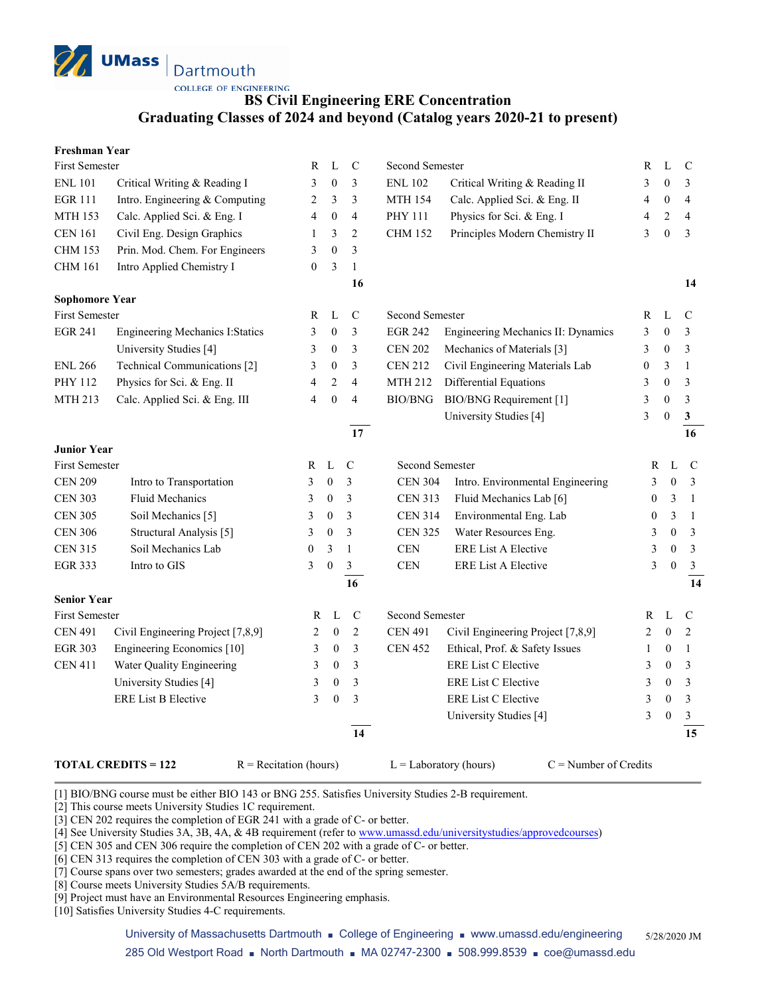

**COLLEGE OF ENGINEERING** 

## **BS Civil Engineering ERE Concentration Graduating Classes of 2024 and beyond (Catalog years 2020-21 to present)**

| <b>Freshman Year</b> |
|----------------------|
|----------------------|

| <b>First Semester</b> |                                         | R            | L                | $\mathbf C$     | Second Semester        |                                    | R                | L                | $\mathsf{C}$            |
|-----------------------|-----------------------------------------|--------------|------------------|-----------------|------------------------|------------------------------------|------------------|------------------|-------------------------|
| <b>ENL 101</b>        | Critical Writing & Reading I            | 3            | $\boldsymbol{0}$ | 3               | <b>ENL 102</b>         | Critical Writing & Reading II      | 3                | $\mathbf{0}$     | 3                       |
| <b>EGR 111</b>        | Intro. Engineering & Computing          | 2            | 3                | 3               | <b>MTH 154</b>         | Calc. Applied Sci. & Eng. II       | 4                | $\boldsymbol{0}$ | $\overline{\mathbf{4}}$ |
| <b>MTH 153</b>        | Calc. Applied Sci. & Eng. I             | 4            | $\boldsymbol{0}$ | $\overline{4}$  | PHY 111                | Physics for Sci. & Eng. I          | 4                | $\overline{c}$   | $\overline{4}$          |
| <b>CEN 161</b>        | Civil Eng. Design Graphics              | 1            | 3                | $\overline{c}$  | <b>CHM 152</b>         | Principles Modern Chemistry II     | 3                | $\mathbf{0}$     | 3                       |
| <b>CHM 153</b>        | Prin. Mod. Chem. For Engineers          | 3            | $\boldsymbol{0}$ | 3               |                        |                                    |                  |                  |                         |
| <b>CHM 161</b>        | Intro Applied Chemistry I               | 0            | 3                | $\mathbf{1}$    |                        |                                    |                  |                  |                         |
|                       |                                         |              |                  | 16              |                        |                                    |                  |                  | 14                      |
| <b>Sophomore Year</b> |                                         |              |                  |                 |                        |                                    |                  |                  |                         |
| <b>First Semester</b> |                                         | R            | L                | $\mathsf{C}$    | Second Semester        |                                    | R                | L                | $\mathsf{C}$            |
| <b>EGR 241</b>        | <b>Engineering Mechanics I: Statics</b> | 3            | $\boldsymbol{0}$ | 3               | <b>EGR 242</b>         | Engineering Mechanics II: Dynamics | 3                | $\boldsymbol{0}$ | 3                       |
|                       | University Studies [4]                  | 3            | $\boldsymbol{0}$ | 3               | <b>CEN 202</b>         | Mechanics of Materials [3]         | 3                | $\boldsymbol{0}$ | 3                       |
| <b>ENL 266</b>        | Technical Communications [2]            | 3            | $\boldsymbol{0}$ | 3               | <b>CEN 212</b>         | Civil Engineering Materials Lab    | $\boldsymbol{0}$ | 3                | $\mathbf{1}$            |
| PHY 112               | Physics for Sci. & Eng. II              | 4            | $\sqrt{2}$       | $\overline{4}$  | MTH 212                | Differential Equations             | 3                | $\boldsymbol{0}$ | 3                       |
| <b>MTH 213</b>        | Calc. Applied Sci. & Eng. III           | 4            | $\boldsymbol{0}$ | $\overline{4}$  | BIO/BNG                | <b>BIO/BNG</b> Requirement [1]     | 3                | $\boldsymbol{0}$ | $\mathfrak{Z}$          |
|                       |                                         |              |                  |                 |                        | University Studies [4]             | 3                | $\mathbf{0}$     | $\mathbf{3}$            |
|                       |                                         |              |                  | $\overline{17}$ |                        |                                    |                  |                  | 16                      |
| <b>Junior Year</b>    |                                         |              |                  |                 |                        |                                    |                  |                  |                         |
| <b>First Semester</b> |                                         | R            | $\mathbf L$      | $\mathbf C$     | <b>Second Semester</b> |                                    | $\mathbb{R}$     | L                | $\mathbf C$             |
| <b>CEN 209</b>        | Intro to Transportation                 | 3            | $\boldsymbol{0}$ | 3               | <b>CEN 304</b>         | Intro. Environmental Engineering   | 3                | $\overline{0}$   | $\mathfrak{Z}$          |
| <b>CEN 303</b>        | Fluid Mechanics                         | 3            | $\boldsymbol{0}$ | 3               | <b>CEN 313</b>         | Fluid Mechanics Lab [6]            | $\mathbf{0}$     | 3                | -1                      |
| <b>CEN 305</b>        | Soil Mechanics [5]                      | 3            | $\boldsymbol{0}$ | 3               | <b>CEN 314</b>         | Environmental Eng. Lab             | $\boldsymbol{0}$ | 3                | $\overline{1}$          |
| <b>CEN 306</b>        | Structural Analysis [5]                 | 3            | $\boldsymbol{0}$ | 3               | <b>CEN 325</b>         | Water Resources Eng.               | 3                | $\theta$         | $\overline{3}$          |
| <b>CEN 315</b>        | Soil Mechanics Lab                      | $\mathbf{0}$ | 3                | $\mathbf{1}$    | $\mbox{CEN}$           | <b>ERE List A Elective</b>         | 3                | $\theta$         | $\overline{3}$          |
| <b>EGR 333</b>        | Intro to GIS                            | 3            | $\mathbf{0}$     | $\mathfrak{Z}$  | CEN                    | <b>ERE List A Elective</b>         | 3                | $\mathbf{0}$     | $\mathfrak{Z}$          |
|                       |                                         |              |                  | 16              |                        |                                    |                  |                  | 14                      |
| <b>Senior Year</b>    |                                         |              |                  |                 |                        |                                    |                  |                  |                         |
| First Semester        |                                         | R            | L                | $\mathbf C$     | Second Semester        |                                    | $\mathbb{R}$     | L                | $\mathsf{C}$            |
| <b>CEN 491</b>        | Civil Engineering Project [7,8,9]       | 2            | $\boldsymbol{0}$ | $\overline{c}$  | <b>CEN 491</b>         | Civil Engineering Project [7,8,9]  | 2                | $\mathbf{0}$     | $\overline{2}$          |
| <b>EGR 303</b>        | Engineering Economics [10]              | 3            | $\boldsymbol{0}$ | 3               | <b>CEN 452</b>         | Ethical, Prof. & Safety Issues     | 1                | $\boldsymbol{0}$ | $\mathbf{1}$            |
| <b>CEN 411</b>        | Water Quality Engineering               | 3            | $\boldsymbol{0}$ | 3               |                        | <b>ERE List C Elective</b>         | 3                | $\mathbf{0}$     | 3                       |
|                       | University Studies [4]                  | 3            | $\boldsymbol{0}$ | 3               |                        | ERE List C Elective                | 3                | $\boldsymbol{0}$ | 3                       |
|                       | <b>ERE List B Elective</b>              | 3            | $\boldsymbol{0}$ | 3               |                        | <b>ERE List C Elective</b>         | 3                | $\boldsymbol{0}$ | $\mathfrak{Z}$          |
|                       |                                         |              |                  |                 |                        | University Studies [4]             | 3                | $\boldsymbol{0}$ | $\mathfrak{Z}$          |
|                       |                                         |              |                  | 14              |                        |                                    |                  |                  | 15                      |
|                       |                                         |              |                  |                 |                        |                                    |                  |                  |                         |

**TOTAL CREDITS = 122** R = Recitation (hours) L = Laboratory (hours) C = Number of Credits

[1] BIO/BNG course must be either BIO 143 or BNG 255. Satisfies University Studies 2-B requirement.

[2] This course meets University Studies 1C requirement.

[3] CEN 202 requires the completion of EGR 241 with a grade of C- or better.

[4] See University Studies 3A, 3B, 4A, & 4B requirement (refer t[o www.umassd.edu/universitystudies/approvedcourses\)](http://www.umassd.edu/universitystudies/approvedcourses)

[5] CEN 305 and CEN 306 require the completion of CEN 202 with a grade of C- or better.

[6] CEN 313 requires the completion of CEN 303 with a grade of C- or better.

[7] Course spans over two semesters; grades awarded at the end of the spring semester.

[8] Course meets University Studies 5A/B requirements.

[9] Project must have an Environmental Resources Engineering emphasis.

[10] Satisfies University Studies 4-C requirements.

University of Massachusetts Dartmouth ■ College of Engineering ■ www.umassd.edu/engineering 5/28/2020 JM 285 Old Westport Road ■ North Dartmouth ■ MA 02747-2300 ■ 508.999.8539 ■ coe@umassd.edu